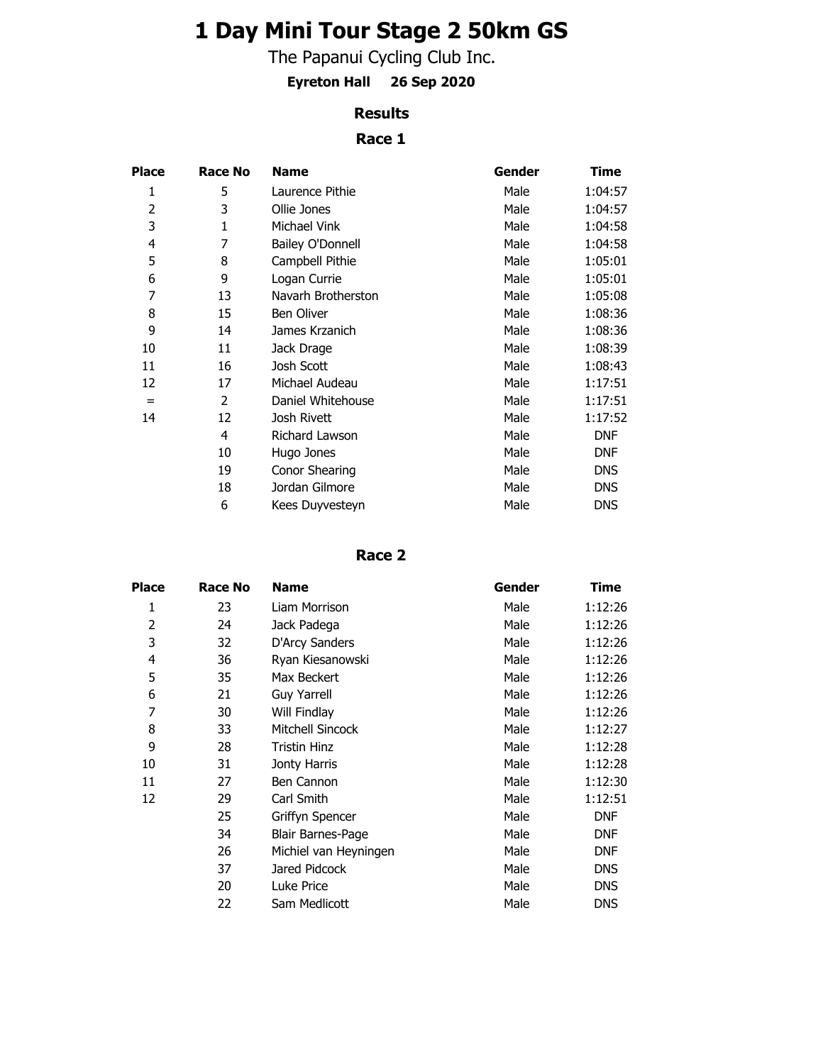# **1 Day Mini Tour Stage 2 50km GS**

The Papanui Cycling Club Inc.

**Eyreton Hall 26 Sep 2020**

# **Results**

# **Race 1**

| <b>Place</b> | Race No      | <b>Name</b>             | Gender | Time       |
|--------------|--------------|-------------------------|--------|------------|
| 1            | 5            | Laurence Pithie         | Male   | 1:04:57    |
| 2            | 3            | Ollie Jones             | Male   | 1:04:57    |
| 3            | $\mathbf{1}$ | Michael Vink            | Male   | 1:04:58    |
| 4            | 7            | <b>Bailey O'Donnell</b> | Male   | 1:04:58    |
| 5            | 8            | Campbell Pithie         | Male   | 1:05:01    |
| 6            | 9            | Logan Currie            | Male   | 1:05:01    |
| 7            | 13           | Navarh Brotherston      | Male   | 1:05:08    |
| 8            | 15           | <b>Ben Oliver</b>       | Male   | 1:08:36    |
| 9            | 14           | James Krzanich          | Male   | 1:08:36    |
| 10           | 11           | Jack Drage              | Male   | 1:08:39    |
| 11           | 16           | Josh Scott              | Male   | 1:08:43    |
| 12           | 17           | Michael Audeau          | Male   | 1:17:51    |
| $=$          | 2            | Daniel Whitehouse       | Male   | 1:17:51    |
| 14           | 12           | Josh Rivett             | Male   | 1:17:52    |
|              | 4            | Richard Lawson          | Male   | <b>DNF</b> |
|              | 10           | Hugo Jones              | Male   | <b>DNF</b> |
|              | 19           | Conor Shearing          | Male   | <b>DNS</b> |
|              | 18           | Jordan Gilmore          | Male   | <b>DNS</b> |
|              | 6            | Kees Duyvesteyn         | Male   | <b>DNS</b> |

#### **Race 2**

| <b>Place</b> | Race No | <b>Name</b>           | Gender | Time       |
|--------------|---------|-----------------------|--------|------------|
| 1            | 23      | Liam Morrison         | Male   | 1:12:26    |
| 2            | 24      | Jack Padega           | Male   | 1:12:26    |
| 3            | 32      | D'Arcy Sanders        | Male   | 1:12:26    |
| 4            | 36      | Ryan Kiesanowski      | Male   | 1:12:26    |
| 5            | 35      | Max Beckert           | Male   | 1:12:26    |
| 6            | 21      | <b>Guy Yarrell</b>    | Male   | 1:12:26    |
| 7            | 30      | Will Findlay          | Male   | 1:12:26    |
| 8            | 33      | Mitchell Sincock      | Male   | 1:12:27    |
| 9            | 28      | Tristin Hinz          | Male   | 1:12:28    |
| 10           | 31      | Jonty Harris          | Male   | 1:12:28    |
| 11           | 27      | Ben Cannon            | Male   | 1:12:30    |
| 12           | 29      | Carl Smith            | Male   | 1:12:51    |
|              | 25      | Griffyn Spencer       | Male   | <b>DNF</b> |
|              | 34      | Blair Barnes-Page     | Male   | <b>DNF</b> |
|              | 26      | Michiel van Heyningen | Male   | <b>DNF</b> |
|              | 37      | Jared Pidcock         | Male   | <b>DNS</b> |
|              | 20      | Luke Price            | Male   | <b>DNS</b> |
|              | 22      | Sam Medlicott         | Male   | <b>DNS</b> |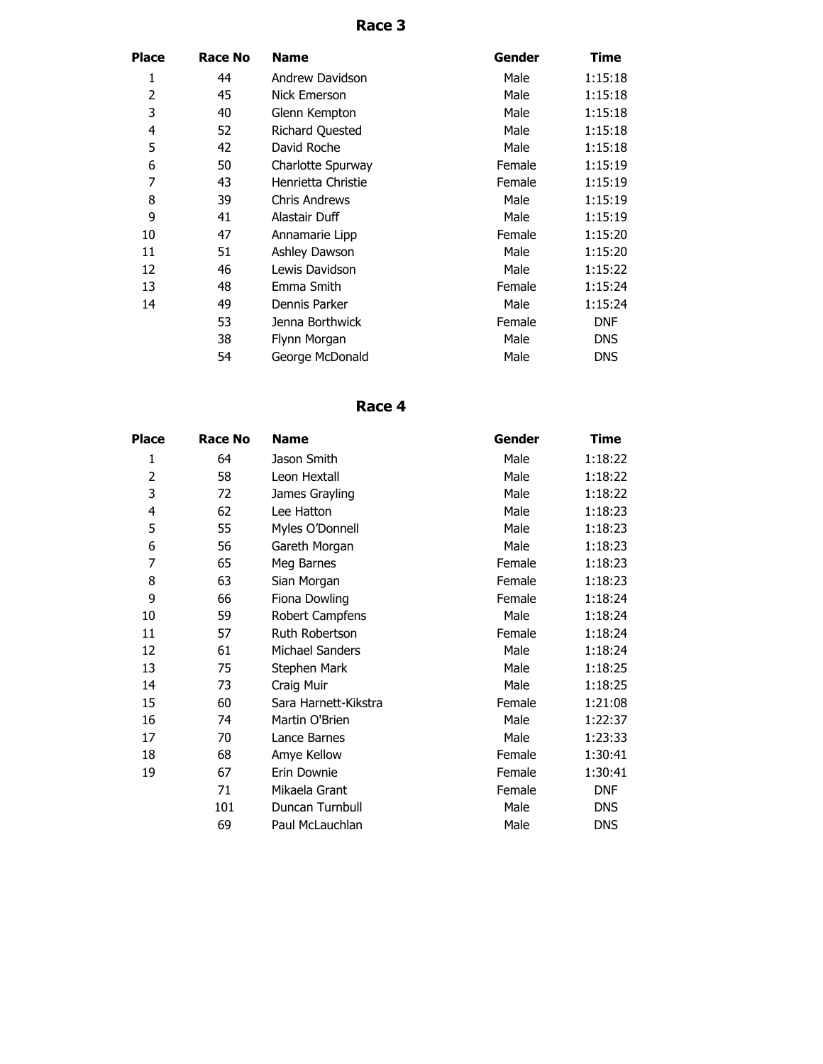# **Race 3**

| Place          | Race No | <b>Name</b>            | Gender | Time       |
|----------------|---------|------------------------|--------|------------|
| 1              | 44      | Andrew Davidson        | Male   | 1:15:18    |
| $\overline{2}$ | 45      | Nick Emerson           | Male   | 1:15:18    |
| 3              | 40      | Glenn Kempton          | Male   | 1:15:18    |
| 4              | 52      | <b>Richard Quested</b> | Male   | 1:15:18    |
| 5              | 42      | David Roche            | Male   | 1:15:18    |
| 6              | 50      | Charlotte Spurway      | Female | 1:15:19    |
| 7              | 43      | Henrietta Christie     | Female | 1:15:19    |
| 8              | 39      | <b>Chris Andrews</b>   | Male   | 1:15:19    |
| 9              | 41      | Alastair Duff          | Male   | 1:15:19    |
| 10             | 47      | Annamarie Lipp         | Female | 1:15:20    |
| 11             | 51      | Ashley Dawson          | Male   | 1:15:20    |
| 12             | 46      | Lewis Davidson         | Male   | 1:15:22    |
| 13             | 48      | Emma Smith             | Female | 1:15:24    |
| 14             | 49      | Dennis Parker          | Male   | 1:15:24    |
|                | 53      | Jenna Borthwick        | Female | <b>DNF</b> |
|                | 38      | Flynn Morgan           | Male   | <b>DNS</b> |
|                | 54      | George McDonald        | Male   | <b>DNS</b> |

### **Race 4**

| <b>Place</b>   | <b>Race No</b> | <b>Name</b>            | Gender | Time       |
|----------------|----------------|------------------------|--------|------------|
| 1              | 64             | Jason Smith            | Male   | 1:18:22    |
| $\overline{2}$ | 58             | Leon Hextall           | Male   | 1:18:22    |
| 3              | 72             | James Grayling         | Male   | 1:18:22    |
| 4              | 62             | Lee Hatton             | Male   | 1:18:23    |
| 5              | 55             | Myles O'Donnell        | Male   | 1:18:23    |
| 6              | 56             | Gareth Morgan          | Male   | 1:18:23    |
| 7              | 65             | Meg Barnes             | Female | 1:18:23    |
| 8              | 63             | Sian Morgan            | Female | 1:18:23    |
| 9              | 66             | Fiona Dowling          | Female | 1:18:24    |
| 10             | 59             | <b>Robert Campfens</b> | Male   | 1:18:24    |
| 11             | 57             | Ruth Robertson         | Female | 1:18:24    |
| 12             | 61             | Michael Sanders        | Male   | 1:18:24    |
| 13             | 75             | Stephen Mark           | Male   | 1:18:25    |
| 14             | 73             | Craig Muir             | Male   | 1:18:25    |
| 15             | 60             | Sara Harnett-Kikstra   | Female | 1:21:08    |
| 16             | 74             | Martin O'Brien         | Male   | 1:22:37    |
| 17             | 70             | Lance Barnes           | Male   | 1:23:33    |
| 18             | 68             | Amye Kellow            | Female | 1:30:41    |
| 19             | 67             | Erin Downie            | Female | 1:30:41    |
|                | 71             | Mikaela Grant          | Female | <b>DNF</b> |
|                | 101            | Duncan Turnbull        | Male   | <b>DNS</b> |
|                | 69             | Paul McLauchlan        | Male   | <b>DNS</b> |